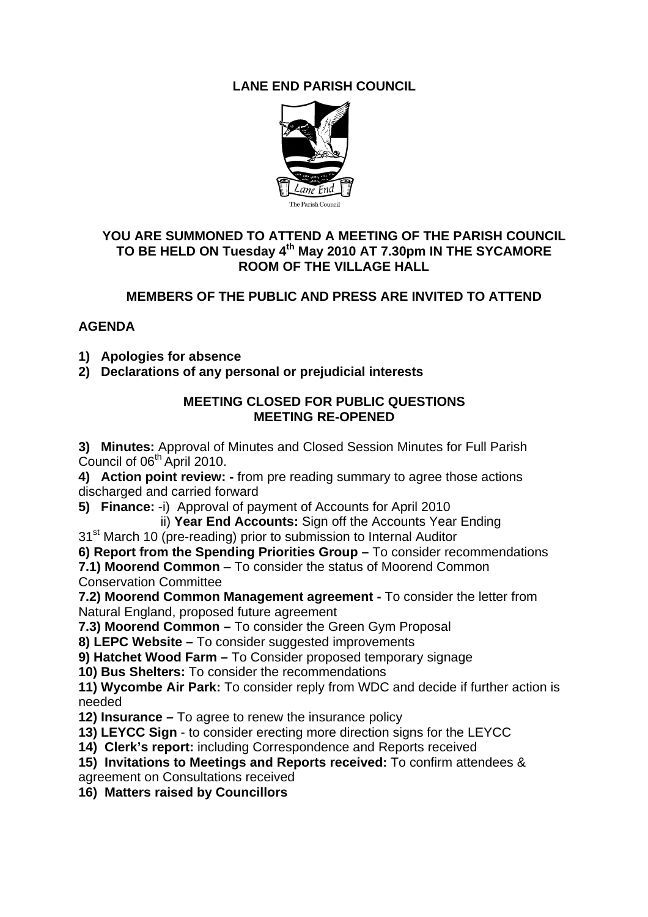# **LANE END PARISH COUNCIL**



## **YOU ARE SUMMONED TO ATTEND A MEETING OF THE PARISH COUNCIL**  TO BE HELD ON Tuesday 4<sup>th</sup> May 2010 AT 7.30pm IN THE SYCAMORE **ROOM OF THE VILLAGE HALL**

# **MEMBERS OF THE PUBLIC AND PRESS ARE INVITED TO ATTEND**

# **AGENDA**

- **1) Apologies for absence**
- **2) Declarations of any personal or prejudicial interests**

## **MEETING CLOSED FOR PUBLIC QUESTIONS MEETING RE-OPENED**

**3) Minutes:** Approval of Minutes and Closed Session Minutes for Full Parish Council of 06<sup>th</sup> April 2010.

**4) Action point review: -** from pre reading summary to agree those actions discharged and carried forward

**5) Finance:** -i) Approval of payment of Accounts for April 2010

ii) **Year End Accounts:** Sign off the Accounts Year Ending

31<sup>st</sup> March 10 (pre-reading) prior to submission to Internal Auditor

**6) Report from the Spending Priorities Group –** To consider recommendations

**7.1) Moorend Common** – To consider the status of Moorend Common Conservation Committee

**7.2) Moorend Common Management agreement -** To consider the letter from Natural England, proposed future agreement

**7.3) Moorend Common –** To consider the Green Gym Proposal

**8) LEPC Website –** To consider suggested improvements

**9) Hatchet Wood Farm –** To Consider proposed temporary signage

**10) Bus Shelters:** To consider the recommendations

**11) Wycombe Air Park:** To consider reply from WDC and decide if further action is needed

- **12) Insurance** To agree to renew the insurance policy
- **13) LEYCC Sign** to consider erecting more direction signs for the LEYCC
- **14) Clerk's report:** including Correspondence and Reports received
- **15) Invitations to Meetings and Reports received:** To confirm attendees & agreement on Consultations received

**16) Matters raised by Councillors**